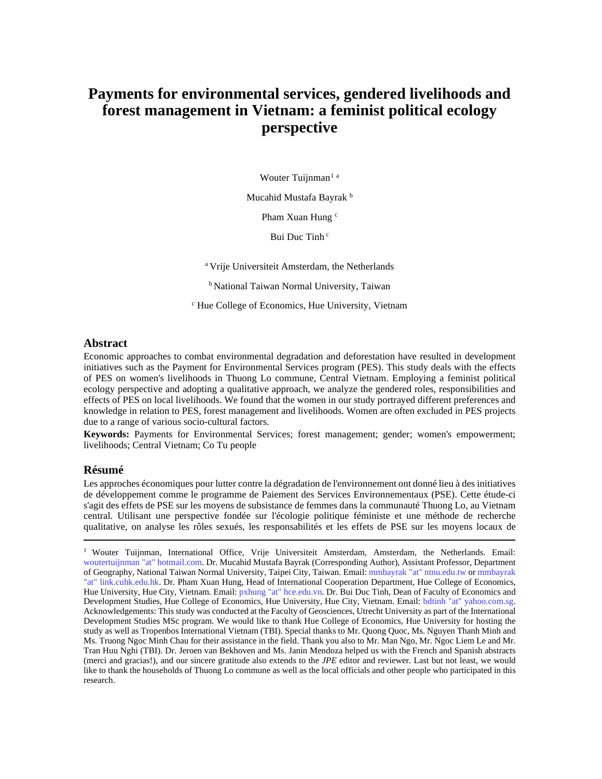# **Payments for environmental services, gendered livelihoods and forest management in Vietnam: a feminist political ecology perspective**

Wouter Tuijnman<sup>[1](#page-0-0) a</sup>

Mucahid Mustafa Bayrak<sup>b</sup>

Pham Xuan Hung<sup>c</sup>

Bui Duc Tinh<sup>c</sup>

a Vrije Universiteit Amsterdam, the Netherlands

**b National Taiwan Normal University, Taiwan** 

<sup>c</sup> Hue College of Economics, Hue University, Vietnam

# **Abstract**

Economic approaches to combat environmental degradation and deforestation have resulted in development initiatives such as the Payment for Environmental Services program (PES). This study deals with the effects of PES on women's livelihoods in Thuong Lo commune, Central Vietnam. Employing a feminist political ecology perspective and adopting a qualitative approach, we analyze the gendered roles, responsibilities and effects of PES on local livelihoods. We found that the women in our study portrayed different preferences and knowledge in relation to PES, forest management and livelihoods. Women are often excluded in PES projects due to a range of various socio-cultural factors.

**Keywords:** Payments for Environmental Services; forest management; gender; women's empowerment; livelihoods; Central Vietnam; Co Tu people

# **Résumé**

Les approches économiques pour lutter contre la dégradation de l'environnement ont donné lieu à des initiatives de développement comme le programme de Paiement des Services Environnementaux (PSE). Cette étude-ci s'agit des effets de PSE sur les moyens de subsistance de femmes dans la communauté Thuong Lo, au Vietnam central. Utilisant une perspective fondée sur l'écologie politique féministe et une méthode de recherche qualitative, on analyse les rôles sexués, les responsabilités et les effets de PSE sur les moyens locaux de

<span id="page-0-0"></span><sup>&</sup>lt;sup>1</sup> Wouter Tuijnman, International Office, Vrije Universiteit Amsterdam, Amsterdam, the Netherlands. Email: woutertuijnman "at" hotmail.com. Dr. Mucahid Mustafa Bayrak (Corresponding Author), Assistant Professor, Department of Geography, National Taiwan Normal University, Taipei City, Taiwan. Email: mmbayrak "at" ntnu.edu.tw or mmbayrak "at" link.cuhk.edu.hk. Dr. Pham Xuan Hung, Head of International Cooperation Department, Hue College of Economics, Hue University, Hue City, Vietnam. Email: pxhung "at" hce.edu.vn. Dr. Bui Duc Tinh, Dean of Faculty of Economics and Development Studies, Hue College of Economics, Hue University, Hue City, Vietnam. Email: bdtinh "at" yahoo.com.sg. Acknowledgements: This study was conducted at the Faculty of Geosciences, Utrecht University as part of the International Development Studies MSc program. We would like to thank Hue College of Economics, Hue University for hosting the study as well as Tropenbos International Vietnam (TBI). Special thanks to Mr. Quong Quoc, Ms. Nguyen Thanh Minh and Ms. Truong Ngoc Minh Chau for their assistance in the field. Thank you also to Mr. Man Ngo, Mr. Ngoc Liem Le and Mr. Tran Huu Nghi (TBI). Dr. Jeroen van Bekhoven and Ms. Janin Mendoza helped us with the French and Spanish abstracts (merci and gracias!), and our sincere gratitude also extends to the *JPE* editor and reviewer. Last but not least, we would like to thank the households of Thuong Lo commune as well as the local officials and other people who participated in this research.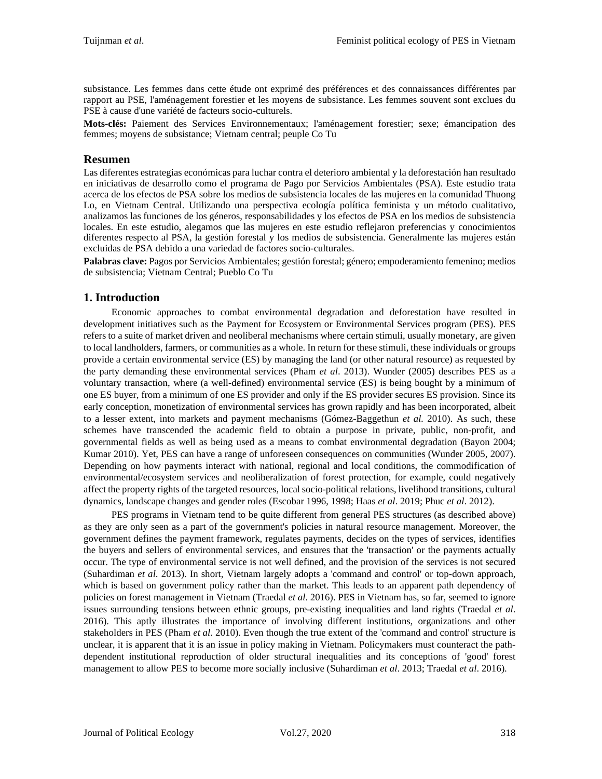subsistance. Les femmes dans cette étude ont exprimé des préférences et des connaissances différentes par rapport au PSE, l'aménagement forestier et les moyens de subsistance. Les femmes souvent sont exclues du PSE à cause d'une variété de facteurs socio-culturels.

**Mots-clés:** Paiement des Services Environnementaux; l'aménagement forestier; sexe; émancipation des femmes; moyens de subsistance; Vietnam central; peuple Co Tu

# **Resumen**

Las diferentes estrategias económicas para luchar contra el deterioro ambiental y la deforestación han resultado en iniciativas de desarrollo como el programa de Pago por Servicios Ambientales (PSA). Este estudio trata acerca de los efectos de PSA sobre los medios de subsistencia locales de las mujeres en la comunidad Thuong Lo, en Vietnam Central. Utilizando una perspectiva ecología política feminista y un método cualitativo, analizamos las funciones de los géneros, responsabilidades y los efectos de PSA en los medios de subsistencia locales. En este estudio, alegamos que las mujeres en este estudio reflejaron preferencias y conocimientos diferentes respecto al PSA, la gestión forestal y los medios de subsistencia. Generalmente las mujeres están excluidas de PSA debido a una variedad de factores socio-culturales.

**Palabras clave:** Pagos por Servicios Ambientales; gestión forestal; género; empoderamiento femenino; medios de subsistencia; Vietnam Central; Pueblo Co Tu

# **1. Introduction**

Economic approaches to combat environmental degradation and deforestation have resulted in development initiatives such as the Payment for Ecosystem or Environmental Services program (PES). PES refers to a suite of market driven and neoliberal mechanisms where certain stimuli, usually monetary, are given to local landholders, farmers, or communities as a whole. In return for these stimuli, these individuals or groups provide a certain environmental service (ES) by managing the land (or other natural resource) as requested by the party demanding these environmental services (Pham *et al*. 2013). Wunder (2005) describes PES as a voluntary transaction, where (a well-defined) environmental service (ES) is being bought by a minimum of one ES buyer, from a minimum of one ES provider and only if the ES provider secures ES provision. Since its early conception, monetization of environmental services has grown rapidly and has been incorporated, albeit to a lesser extent, into markets and payment mechanisms (Gómez-Baggethun *et al.* 2010). As such, these schemes have transcended the academic field to obtain a purpose in private, public, non-profit, and governmental fields as well as being used as a means to combat environmental degradation (Bayon 2004; Kumar 2010). Yet, PES can have a range of unforeseen consequences on communities (Wunder 2005, 2007). Depending on how payments interact with national, regional and local conditions, the commodification of environmental/ecosystem services and neoliberalization of forest protection, for example, could negatively affect the property rights of the targeted resources, local socio-political relations, livelihood transitions, cultural dynamics, landscape changes and gender roles (Escobar 1996, 1998; Haas *et al*. 2019; Phuc *et al*. 2012).

PES programs in Vietnam tend to be quite different from general PES structures (as described above) as they are only seen as a part of the government's policies in natural resource management. Moreover, the government defines the payment framework, regulates payments, decides on the types of services, identifies the buyers and sellers of environmental services, and ensures that the 'transaction' or the payments actually occur. The type of environmental service is not well defined, and the provision of the services is not secured (Suhardiman *et al*. 2013). In short, Vietnam largely adopts a 'command and control' or top-down approach, which is based on government policy rather than the market. This leads to an apparent path dependency of policies on forest management in Vietnam (Traedal *et al*. 2016). PES in Vietnam has, so far, seemed to ignore issues surrounding tensions between ethnic groups, pre-existing inequalities and land rights (Traedal *et al*. 2016). This aptly illustrates the importance of involving different institutions, organizations and other stakeholders in PES (Pham *et al*. 2010). Even though the true extent of the 'command and control' structure is unclear, it is apparent that it is an issue in policy making in Vietnam. Policymakers must counteract the pathdependent institutional reproduction of older structural inequalities and its conceptions of 'good' forest management to allow PES to become more socially inclusive (Suhardiman *et al*. 2013; Traedal *et al*. 2016).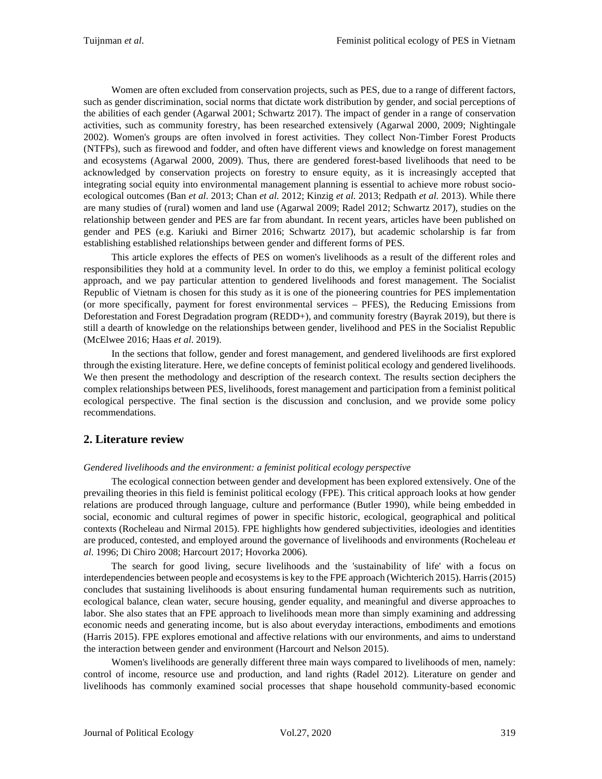Women are often excluded from conservation projects, such as PES, due to a range of different factors, such as gender discrimination, social norms that dictate work distribution by gender, and social perceptions of the abilities of each gender (Agarwal 2001; Schwartz 2017). The impact of gender in a range of conservation activities, such as community forestry, has been researched extensively (Agarwal 2000, 2009; Nightingale 2002). Women's groups are often involved in forest activities. They collect Non-Timber Forest Products (NTFPs), such as firewood and fodder, and often have different views and knowledge on forest management and ecosystems (Agarwal 2000, 2009). Thus, there are gendered forest-based livelihoods that need to be acknowledged by conservation projects on forestry to ensure equity, as it is increasingly accepted that integrating social equity into environmental management planning is essential to achieve more robust socioecological outcomes (Ban *et al*. 2013; Chan *et al.* 2012; Kinzig *et al.* 2013; Redpath *et al.* 2013). While there are many studies of (rural) women and land use (Agarwal 2009; Radel 2012; Schwartz 2017), studies on the relationship between gender and PES are far from abundant. In recent years, articles have been published on gender and PES (e.g. Kariuki and Birner 2016; Schwartz 2017), but academic scholarship is far from establishing established relationships between gender and different forms of PES.

This article explores the effects of PES on women's livelihoods as a result of the different roles and responsibilities they hold at a community level. In order to do this, we employ a feminist political ecology approach, and we pay particular attention to gendered livelihoods and forest management. The Socialist Republic of Vietnam is chosen for this study as it is one of the pioneering countries for PES implementation (or more specifically, payment for forest environmental services – PFES), the Reducing Emissions from Deforestation and Forest Degradation program (REDD+), and community forestry (Bayrak 2019), but there is still a dearth of knowledge on the relationships between gender, livelihood and PES in the Socialist Republic (McElwee 2016; Haas *et al*. 2019).

In the sections that follow, gender and forest management, and gendered livelihoods are first explored through the existing literature. Here, we define concepts of feminist political ecology and gendered livelihoods. We then present the methodology and description of the research context. The results section deciphers the complex relationships between PES, livelihoods, forest management and participation from a feminist political ecological perspective. The final section is the discussion and conclusion, and we provide some policy recommendations.

# **2. Literature review**

# *Gendered livelihoods and the environment: a feminist political ecology perspective*

The ecological connection between gender and development has been explored extensively. One of the prevailing theories in this field is feminist political ecology (FPE). This critical approach looks at how gender relations are produced through language, culture and performance (Butler 1990), while being embedded in social, economic and cultural regimes of power in specific historic, ecological, geographical and political contexts (Rocheleau and Nirmal 2015). FPE highlights how gendered subjectivities, ideologies and identities are produced, contested, and employed around the governance of livelihoods and environments (Rocheleau *et al*. 1996; Di Chiro 2008; Harcourt 2017; Hovorka 2006).

The search for good living, secure livelihoods and the 'sustainability of life' with a focus on interdependencies between people and ecosystems is key to the FPE approach (Wichterich 2015). Harris(2015) concludes that sustaining livelihoods is about ensuring fundamental human requirements such as nutrition, ecological balance, clean water, secure housing, gender equality, and meaningful and diverse approaches to labor. She also states that an FPE approach to livelihoods mean more than simply examining and addressing economic needs and generating income, but is also about everyday interactions, embodiments and emotions (Harris 2015). FPE explores emotional and affective relations with our environments, and aims to understand the interaction between gender and environment (Harcourt and Nelson 2015).

Women's livelihoods are generally different three main ways compared to livelihoods of men, namely: control of income, resource use and production, and land rights (Radel 2012). Literature on gender and livelihoods has commonly examined social processes that shape household community-based economic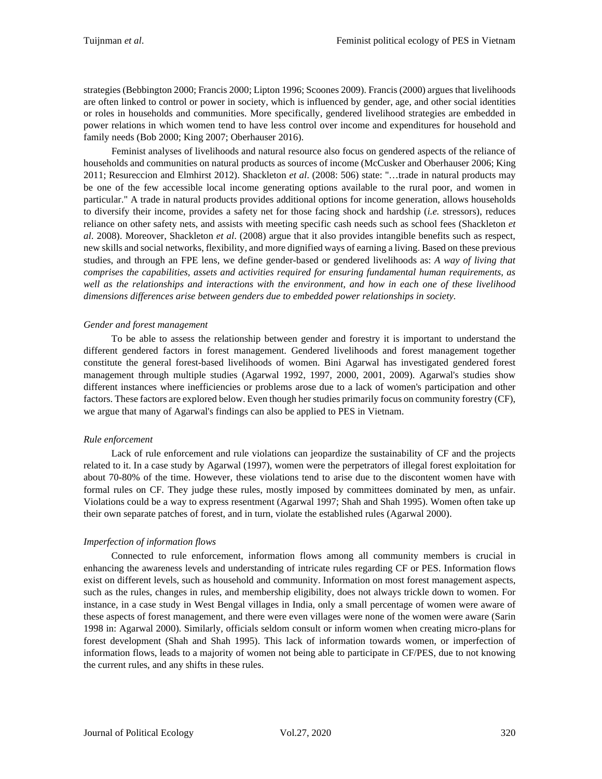strategies (Bebbington 2000; Francis 2000; Lipton 1996; Scoones 2009). Francis (2000) argues that livelihoods are often linked to control or power in society, which is influenced by gender, age, and other social identities or roles in households and communities. More specifically, gendered livelihood strategies are embedded in power relations in which women tend to have less control over income and expenditures for household and family needs (Bob 2000; King 2007; Oberhauser 2016).

Feminist analyses of livelihoods and natural resource also focus on gendered aspects of the reliance of households and communities on natural products as sources of income (McCusker and Oberhauser 2006; King 2011; Resureccion and Elmhirst 2012). Shackleton *et al*. (2008: 506) state: ''…trade in natural products may be one of the few accessible local income generating options available to the rural poor, and women in particular." A trade in natural products provides additional options for income generation, allows households to diversify their income, provides a safety net for those facing shock and hardship (*i.e.* stressors), reduces reliance on other safety nets, and assists with meeting specific cash needs such as school fees (Shackleton *et al*. 2008). Moreover, Shackleton *et al*. (2008) argue that it also provides intangible benefits such as respect, new skills and social networks, flexibility, and more dignified ways of earning a living. Based on these previous studies, and through an FPE lens, we define gender-based or gendered livelihoods as: *A way of living that comprises the capabilities, assets and activities required for ensuring fundamental human requirements, as well as the relationships and interactions with the environment, and how in each one of these livelihood dimensions differences arise between genders due to embedded power relationships in society.*

# *Gender and forest management*

To be able to assess the relationship between gender and forestry it is important to understand the different gendered factors in forest management. Gendered livelihoods and forest management together constitute the general forest-based livelihoods of women. Bini Agarwal has investigated gendered forest management through multiple studies (Agarwal 1992, 1997, 2000, 2001, 2009). Agarwal's studies show different instances where inefficiencies or problems arose due to a lack of women's participation and other factors. These factors are explored below. Even though her studies primarily focus on community forestry (CF), we argue that many of Agarwal's findings can also be applied to PES in Vietnam.

# *Rule enforcement*

Lack of rule enforcement and rule violations can jeopardize the sustainability of CF and the projects related to it. In a case study by Agarwal (1997), women were the perpetrators of illegal forest exploitation for about 70-80% of the time. However, these violations tend to arise due to the discontent women have with formal rules on CF. They judge these rules, mostly imposed by committees dominated by men, as unfair. Violations could be a way to express resentment (Agarwal 1997; Shah and Shah 1995). Women often take up their own separate patches of forest, and in turn, violate the established rules (Agarwal 2000).

# *Imperfection of information flows*

Connected to rule enforcement, information flows among all community members is crucial in enhancing the awareness levels and understanding of intricate rules regarding CF or PES. Information flows exist on different levels, such as household and community. Information on most forest management aspects, such as the rules, changes in rules, and membership eligibility, does not always trickle down to women. For instance, in a case study in West Bengal villages in India, only a small percentage of women were aware of these aspects of forest management, and there were even villages were none of the women were aware (Sarin 1998 in: Agarwal 2000). Similarly, officials seldom consult or inform women when creating micro-plans for forest development (Shah and Shah 1995). This lack of information towards women, or imperfection of information flows, leads to a majority of women not being able to participate in CF/PES, due to not knowing the current rules, and any shifts in these rules.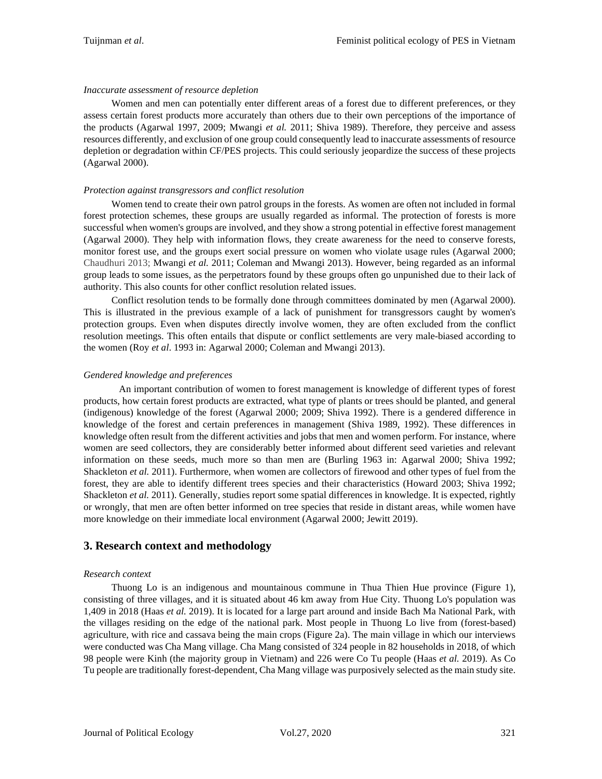### *Inaccurate assessment of resource depletion*

Women and men can potentially enter different areas of a forest due to different preferences, or they assess certain forest products more accurately than others due to their own perceptions of the importance of the products (Agarwal 1997, 2009; Mwangi *et al.* 2011; Shiva 1989). Therefore, they perceive and assess resources differently, and exclusion of one group could consequently lead to inaccurate assessments of resource depletion or degradation within CF/PES projects. This could seriously jeopardize the success of these projects (Agarwal 2000).

## *Protection against transgressors and conflict resolution*

Women tend to create their own patrol groups in the forests. As women are often not included in formal forest protection schemes, these groups are usually regarded as informal. The protection of forests is more successful when women's groups are involved, and they show a strong potential in effective forest management (Agarwal 2000). They help with information flows, they create awareness for the need to conserve forests, monitor forest use, and the groups exert social pressure on women who violate usage rules (Agarwal 2000; Chaudhuri 2013; Mwangi *et al.* 2011; Coleman and Mwangi 2013). However, being regarded as an informal group leads to some issues, as the perpetrators found by these groups often go unpunished due to their lack of authority. This also counts for other conflict resolution related issues.

Conflict resolution tends to be formally done through committees dominated by men (Agarwal 2000). This is illustrated in the previous example of a lack of punishment for transgressors caught by women's protection groups. Even when disputes directly involve women, they are often excluded from the conflict resolution meetings. This often entails that dispute or conflict settlements are very male-biased according to the women (Roy *et al*. 1993 in: Agarwal 2000; Coleman and Mwangi 2013).

#### *Gendered knowledge and preferences*

An important contribution of women to forest management is knowledge of different types of forest products, how certain forest products are extracted, what type of plants or trees should be planted, and general (indigenous) knowledge of the forest (Agarwal 2000; 2009; Shiva 1992). There is a gendered difference in knowledge of the forest and certain preferences in management (Shiva 1989, 1992). These differences in knowledge often result from the different activities and jobs that men and women perform. For instance, where women are seed collectors, they are considerably better informed about different seed varieties and relevant information on these seeds, much more so than men are (Burling 1963 in: Agarwal 2000; Shiva 1992; Shackleton *et al.* 2011). Furthermore, when women are collectors of firewood and other types of fuel from the forest, they are able to identify different trees species and their characteristics (Howard 2003; Shiva 1992; Shackleton *et al.* 2011). Generally, studies report some spatial differences in knowledge. It is expected, rightly or wrongly, that men are often better informed on tree species that reside in distant areas, while women have more knowledge on their immediate local environment (Agarwal 2000; Jewitt 2019).

# **3. Research context and methodology**

# *Research context*

Thuong Lo is an indigenous and mountainous commune in Thua Thien Hue province (Figure 1), consisting of three villages, and it is situated about 46 km away from Hue City. Thuong Lo's population was 1,409 in 2018 (Haas *et al.* 2019). It is located for a large part around and inside Bach Ma National Park, with the villages residing on the edge of the national park. Most people in Thuong Lo live from (forest-based) agriculture, with rice and cassava being the main crops (Figure 2a). The main village in which our interviews were conducted was Cha Mang village. Cha Mang consisted of 324 people in 82 households in 2018, of which 98 people were Kinh (the majority group in Vietnam) and 226 were Co Tu people (Haas *et al.* 2019). As Co Tu people are traditionally forest-dependent, Cha Mang village was purposively selected as the main study site.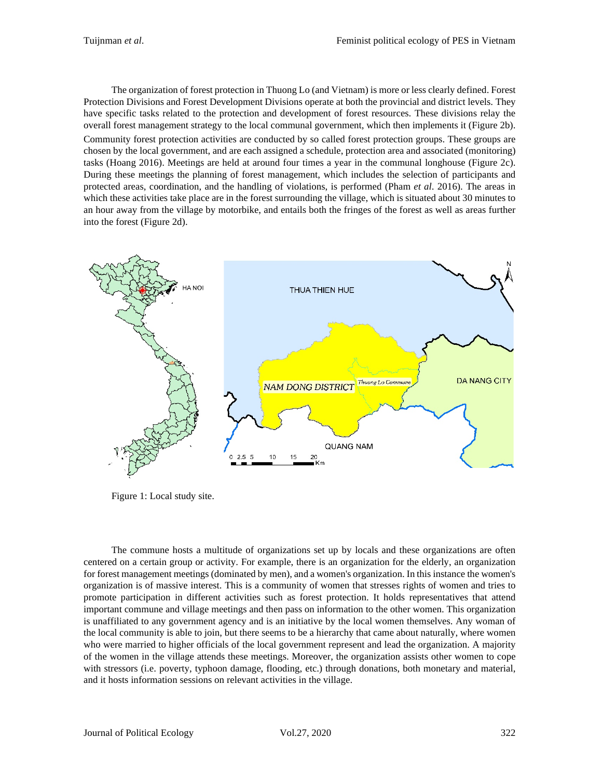The organization of forest protection in Thuong Lo (and Vietnam) is more or less clearly defined. Forest Protection Divisions and Forest Development Divisions operate at both the provincial and district levels. They have specific tasks related to the protection and development of forest resources. These divisions relay the overall forest management strategy to the local communal government, which then implements it (Figure 2b). Community forest protection activities are conducted by so called forest protection groups. These groups are chosen by the local government, and are each assigned a schedule, protection area and associated (monitoring) tasks (Hoang 2016). Meetings are held at around four times a year in the communal longhouse (Figure 2c). During these meetings the planning of forest management, which includes the selection of participants and protected areas, coordination, and the handling of violations, is performed (Pham *et al*. 2016). The areas in which these activities take place are in the forest surrounding the village, which is situated about 30 minutes to an hour away from the village by motorbike, and entails both the fringes of the forest as well as areas further into the forest (Figure 2d).



Figure 1: Local study site.

The commune hosts a multitude of organizations set up by locals and these organizations are often centered on a certain group or activity. For example, there is an organization for the elderly, an organization for forest management meetings (dominated by men), and a women's organization. In this instance the women's organization is of massive interest. This is a community of women that stresses rights of women and tries to promote participation in different activities such as forest protection. It holds representatives that attend important commune and village meetings and then pass on information to the other women. This organization is unaffiliated to any government agency and is an initiative by the local women themselves. Any woman of the local community is able to join, but there seems to be a hierarchy that came about naturally, where women who were married to higher officials of the local government represent and lead the organization. A majority of the women in the village attends these meetings. Moreover, the organization assists other women to cope with stressors (i.e. poverty, typhoon damage, flooding, etc.) through donations, both monetary and material, and it hosts information sessions on relevant activities in the village.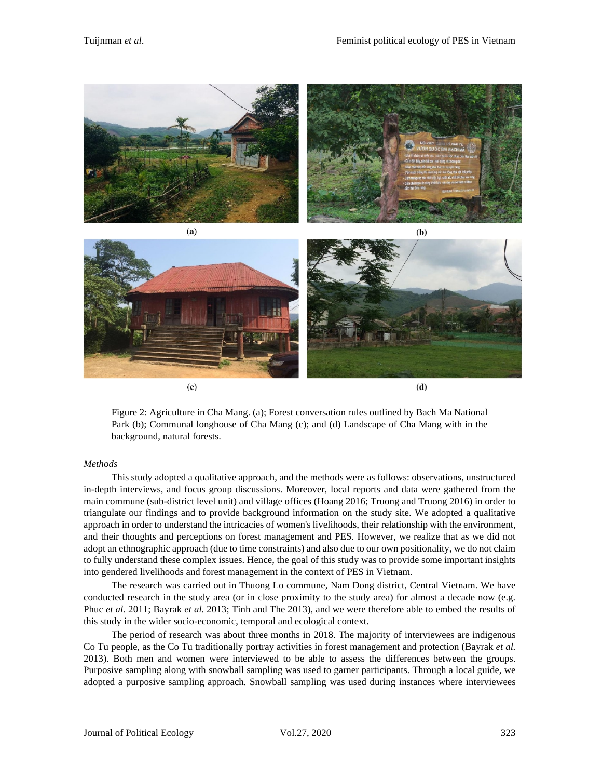

 $(c)$ 

 $(d)$ 

Figure 2: Agriculture in Cha Mang. (a); Forest conversation rules outlined by Bach Ma National Park (b); Communal longhouse of Cha Mang (c); and (d) Landscape of Cha Mang with in the background, natural forests.

#### *Methods*

This study adopted a qualitative approach, and the methods were as follows: observations, unstructured in-depth interviews, and focus group discussions. Moreover, local reports and data were gathered from the main commune (sub-district level unit) and village offices (Hoang 2016; Truong and Truong 2016) in order to triangulate our findings and to provide background information on the study site. We adopted a qualitative approach in order to understand the intricacies of women's livelihoods, their relationship with the environment, and their thoughts and perceptions on forest management and PES. However, we realize that as we did not adopt an ethnographic approach (due to time constraints) and also due to our own positionality, we do not claim to fully understand these complex issues. Hence, the goal of this study was to provide some important insights into gendered livelihoods and forest management in the context of PES in Vietnam.

The research was carried out in Thuong Lo commune, Nam Dong district, Central Vietnam. We have conducted research in the study area (or in close proximity to the study area) for almost a decade now (e.g. Phuc *et al.* 2011; Bayrak *et al.* 2013; Tinh and The 2013), and we were therefore able to embed the results of this study in the wider socio-economic, temporal and ecological context.

The period of research was about three months in 2018. The majority of interviewees are indigenous Co Tu people, as the Co Tu traditionally portray activities in forest management and protection (Bayrak *et al.* 2013). Both men and women were interviewed to be able to assess the differences between the groups. Purposive sampling along with snowball sampling was used to garner participants. Through a local guide, we adopted a purposive sampling approach. Snowball sampling was used during instances where interviewees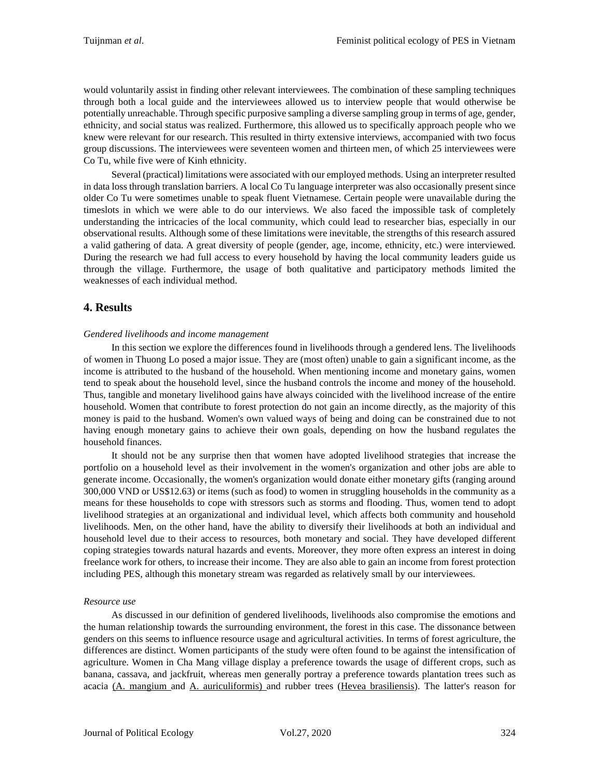would voluntarily assist in finding other relevant interviewees. The combination of these sampling techniques through both a local guide and the interviewees allowed us to interview people that would otherwise be potentially unreachable. Through specific purposive sampling a diverse sampling group in terms of age, gender, ethnicity, and social status was realized. Furthermore, this allowed us to specifically approach people who we knew were relevant for our research. This resulted in thirty extensive interviews, accompanied with two focus group discussions. The interviewees were seventeen women and thirteen men, of which 25 interviewees were Co Tu, while five were of Kinh ethnicity.

Several (practical) limitations were associated with our employed methods. Using an interpreter resulted in data loss through translation barriers. A local Co Tu language interpreter was also occasionally present since older Co Tu were sometimes unable to speak fluent Vietnamese. Certain people were unavailable during the timeslots in which we were able to do our interviews. We also faced the impossible task of completely understanding the intricacies of the local community, which could lead to researcher bias, especially in our observational results. Although some of these limitations were inevitable, the strengths of this research assured a valid gathering of data. A great diversity of people (gender, age, income, ethnicity, etc.) were interviewed. During the research we had full access to every household by having the local community leaders guide us through the village. Furthermore, the usage of both qualitative and participatory methods limited the weaknesses of each individual method.

# **4. Results**

#### *Gendered livelihoods and income management*

In this section we explore the differences found in livelihoods through a gendered lens. The livelihoods of women in Thuong Lo posed a major issue. They are (most often) unable to gain a significant income, as the income is attributed to the husband of the household. When mentioning income and monetary gains, women tend to speak about the household level, since the husband controls the income and money of the household. Thus, tangible and monetary livelihood gains have always coincided with the livelihood increase of the entire household. Women that contribute to forest protection do not gain an income directly, as the majority of this money is paid to the husband. Women's own valued ways of being and doing can be constrained due to not having enough monetary gains to achieve their own goals, depending on how the husband regulates the household finances.

It should not be any surprise then that women have adopted livelihood strategies that increase the portfolio on a household level as their involvement in the women's organization and other jobs are able to generate income. Occasionally, the women's organization would donate either monetary gifts (ranging around 300,000 VND or US\$12.63) or items (such as food) to women in struggling households in the community as a means for these households to cope with stressors such as storms and flooding. Thus, women tend to adopt livelihood strategies at an organizational and individual level, which affects both community and household livelihoods. Men, on the other hand, have the ability to diversify their livelihoods at both an individual and household level due to their access to resources, both monetary and social. They have developed different coping strategies towards natural hazards and events. Moreover, they more often express an interest in doing freelance work for others, to increase their income. They are also able to gain an income from forest protection including PES, although this monetary stream was regarded as relatively small by our interviewees.

#### *Resource use*

As discussed in our definition of gendered livelihoods, livelihoods also compromise the emotions and the human relationship towards the surrounding environment, the forest in this case. The dissonance between genders on this seems to influence resource usage and agricultural activities. In terms of forest agriculture, the differences are distinct. Women participants of the study were often found to be against the intensification of agriculture. Women in Cha Mang village display a preference towards the usage of different crops, such as banana, cassava, and jackfruit, whereas men generally portray a preference towards plantation trees such as acacia (A. mangium and A. auriculiformis) and rubber trees (Hevea brasiliensis). The latter's reason for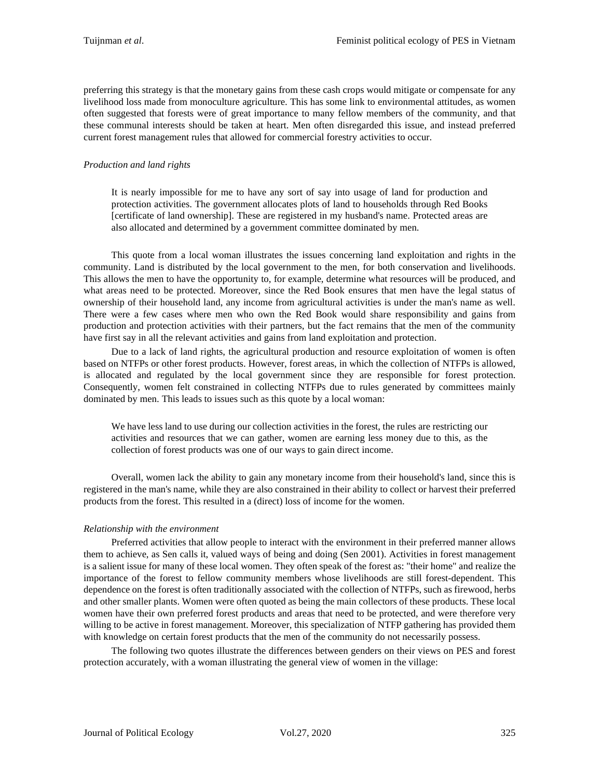preferring this strategy is that the monetary gains from these cash crops would mitigate or compensate for any livelihood loss made from monoculture agriculture. This has some link to environmental attitudes, as women often suggested that forests were of great importance to many fellow members of the community, and that these communal interests should be taken at heart. Men often disregarded this issue, and instead preferred current forest management rules that allowed for commercial forestry activities to occur.

# *Production and land rights*

It is nearly impossible for me to have any sort of say into usage of land for production and protection activities. The government allocates plots of land to households through Red Books [certificate of land ownership]. These are registered in my husband's name. Protected areas are also allocated and determined by a government committee dominated by men.

This quote from a local woman illustrates the issues concerning land exploitation and rights in the community. Land is distributed by the local government to the men, for both conservation and livelihoods. This allows the men to have the opportunity to, for example, determine what resources will be produced, and what areas need to be protected. Moreover, since the Red Book ensures that men have the legal status of ownership of their household land, any income from agricultural activities is under the man's name as well. There were a few cases where men who own the Red Book would share responsibility and gains from production and protection activities with their partners, but the fact remains that the men of the community have first say in all the relevant activities and gains from land exploitation and protection.

Due to a lack of land rights, the agricultural production and resource exploitation of women is often based on NTFPs or other forest products. However, forest areas, in which the collection of NTFPs is allowed, is allocated and regulated by the local government since they are responsible for forest protection. Consequently, women felt constrained in collecting NTFPs due to rules generated by committees mainly dominated by men. This leads to issues such as this quote by a local woman:

We have less land to use during our collection activities in the forest, the rules are restricting our activities and resources that we can gather, women are earning less money due to this, as the collection of forest products was one of our ways to gain direct income.

Overall, women lack the ability to gain any monetary income from their household's land, since this is registered in the man's name, while they are also constrained in their ability to collect or harvest their preferred products from the forest. This resulted in a (direct) loss of income for the women.

#### *Relationship with the environment*

Preferred activities that allow people to interact with the environment in their preferred manner allows them to achieve, as Sen calls it, valued ways of being and doing (Sen 2001). Activities in forest management is a salient issue for many of these local women. They often speak of the forest as: "their home" and realize the importance of the forest to fellow community members whose livelihoods are still forest-dependent. This dependence on the forest is often traditionally associated with the collection of NTFPs, such as firewood, herbs and other smaller plants. Women were often quoted as being the main collectors of these products. These local women have their own preferred forest products and areas that need to be protected, and were therefore very willing to be active in forest management. Moreover, this specialization of NTFP gathering has provided them with knowledge on certain forest products that the men of the community do not necessarily possess.

The following two quotes illustrate the differences between genders on their views on PES and forest protection accurately, with a woman illustrating the general view of women in the village: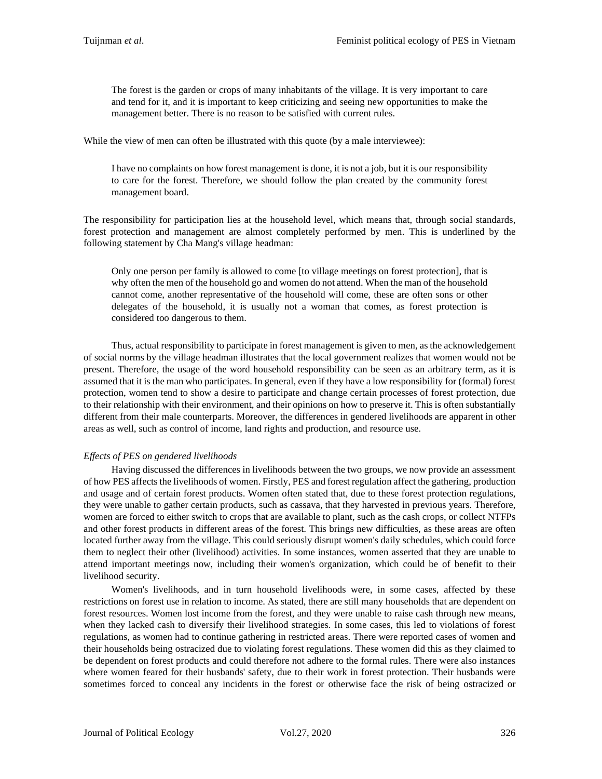The forest is the garden or crops of many inhabitants of the village. It is very important to care and tend for it, and it is important to keep criticizing and seeing new opportunities to make the management better. There is no reason to be satisfied with current rules.

While the view of men can often be illustrated with this quote (by a male interviewee):

I have no complaints on how forest management is done, it is not a job, but it is our responsibility to care for the forest. Therefore, we should follow the plan created by the community forest management board.

The responsibility for participation lies at the household level, which means that, through social standards, forest protection and management are almost completely performed by men. This is underlined by the following statement by Cha Mang's village headman:

Only one person per family is allowed to come [to village meetings on forest protection], that is why often the men of the household go and women do not attend. When the man of the household cannot come, another representative of the household will come, these are often sons or other delegates of the household, it is usually not a woman that comes, as forest protection is considered too dangerous to them.

Thus, actual responsibility to participate in forest management is given to men, as the acknowledgement of social norms by the village headman illustrates that the local government realizes that women would not be present. Therefore, the usage of the word household responsibility can be seen as an arbitrary term, as it is assumed that it is the man who participates. In general, even if they have a low responsibility for (formal) forest protection, women tend to show a desire to participate and change certain processes of forest protection, due to their relationship with their environment, and their opinions on how to preserve it. This is often substantially different from their male counterparts. Moreover, the differences in gendered livelihoods are apparent in other areas as well, such as control of income, land rights and production, and resource use.

# *Effects of PES on gendered livelihoods*

Having discussed the differences in livelihoods between the two groups, we now provide an assessment of how PES affects the livelihoods of women. Firstly, PES and forest regulation affect the gathering, production and usage and of certain forest products. Women often stated that, due to these forest protection regulations, they were unable to gather certain products, such as cassava, that they harvested in previous years. Therefore, women are forced to either switch to crops that are available to plant, such as the cash crops, or collect NTFPs and other forest products in different areas of the forest. This brings new difficulties, as these areas are often located further away from the village. This could seriously disrupt women's daily schedules, which could force them to neglect their other (livelihood) activities. In some instances, women asserted that they are unable to attend important meetings now, including their women's organization, which could be of benefit to their livelihood security.

Women's livelihoods, and in turn household livelihoods were, in some cases, affected by these restrictions on forest use in relation to income. As stated, there are still many households that are dependent on forest resources. Women lost income from the forest, and they were unable to raise cash through new means, when they lacked cash to diversify their livelihood strategies. In some cases, this led to violations of forest regulations, as women had to continue gathering in restricted areas. There were reported cases of women and their households being ostracized due to violating forest regulations. These women did this as they claimed to be dependent on forest products and could therefore not adhere to the formal rules. There were also instances where women feared for their husbands' safety, due to their work in forest protection. Their husbands were sometimes forced to conceal any incidents in the forest or otherwise face the risk of being ostracized or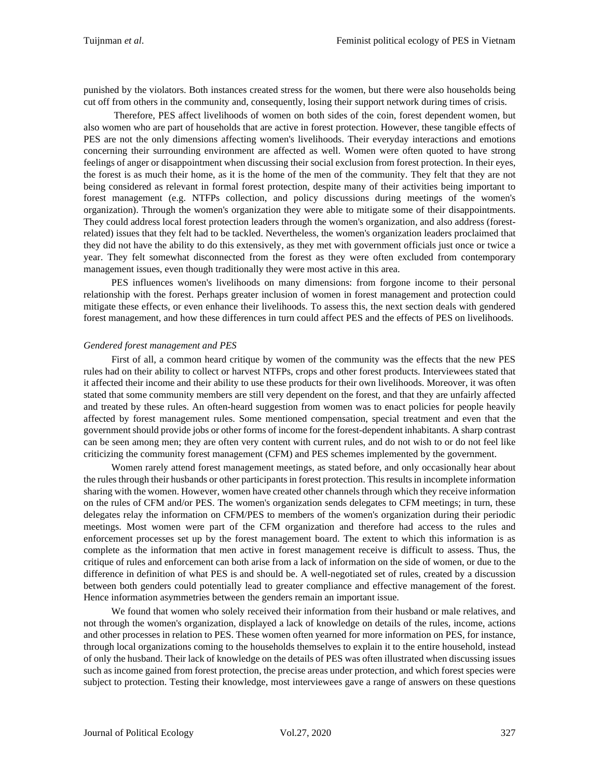punished by the violators. Both instances created stress for the women, but there were also households being cut off from others in the community and, consequently, losing their support network during times of crisis.

Therefore, PES affect livelihoods of women on both sides of the coin, forest dependent women, but also women who are part of households that are active in forest protection. However, these tangible effects of PES are not the only dimensions affecting women's livelihoods. Their everyday interactions and emotions concerning their surrounding environment are affected as well. Women were often quoted to have strong feelings of anger or disappointment when discussing their social exclusion from forest protection. In their eyes, the forest is as much their home, as it is the home of the men of the community. They felt that they are not being considered as relevant in formal forest protection, despite many of their activities being important to forest management (e.g. NTFPs collection, and policy discussions during meetings of the women's organization). Through the women's organization they were able to mitigate some of their disappointments. They could address local forest protection leaders through the women's organization, and also address (forestrelated) issues that they felt had to be tackled. Nevertheless, the women's organization leaders proclaimed that they did not have the ability to do this extensively, as they met with government officials just once or twice a year. They felt somewhat disconnected from the forest as they were often excluded from contemporary management issues, even though traditionally they were most active in this area.

PES influences women's livelihoods on many dimensions: from forgone income to their personal relationship with the forest. Perhaps greater inclusion of women in forest management and protection could mitigate these effects, or even enhance their livelihoods. To assess this, the next section deals with gendered forest management, and how these differences in turn could affect PES and the effects of PES on livelihoods.

#### *Gendered forest management and PES*

First of all, a common heard critique by women of the community was the effects that the new PES rules had on their ability to collect or harvest NTFPs, crops and other forest products. Interviewees stated that it affected their income and their ability to use these products for their own livelihoods. Moreover, it was often stated that some community members are still very dependent on the forest, and that they are unfairly affected and treated by these rules. An often-heard suggestion from women was to enact policies for people heavily affected by forest management rules. Some mentioned compensation, special treatment and even that the government should provide jobs or other forms of income for the forest-dependent inhabitants. A sharp contrast can be seen among men; they are often very content with current rules, and do not wish to or do not feel like criticizing the community forest management (CFM) and PES schemes implemented by the government.

Women rarely attend forest management meetings, as stated before, and only occasionally hear about the rules through their husbands or other participants in forest protection. This resultsin incomplete information sharing with the women. However, women have created other channels through which they receive information on the rules of CFM and/or PES. The women's organization sends delegates to CFM meetings; in turn, these delegates relay the information on CFM/PES to members of the women's organization during their periodic meetings. Most women were part of the CFM organization and therefore had access to the rules and enforcement processes set up by the forest management board. The extent to which this information is as complete as the information that men active in forest management receive is difficult to assess. Thus, the critique of rules and enforcement can both arise from a lack of information on the side of women, or due to the difference in definition of what PES is and should be. A well-negotiated set of rules, created by a discussion between both genders could potentially lead to greater compliance and effective management of the forest. Hence information asymmetries between the genders remain an important issue.

We found that women who solely received their information from their husband or male relatives, and not through the women's organization, displayed a lack of knowledge on details of the rules, income, actions and other processes in relation to PES. These women often yearned for more information on PES, for instance, through local organizations coming to the households themselves to explain it to the entire household, instead of only the husband. Their lack of knowledge on the details of PES was often illustrated when discussing issues such as income gained from forest protection, the precise areas under protection, and which forest species were subject to protection. Testing their knowledge, most interviewees gave a range of answers on these questions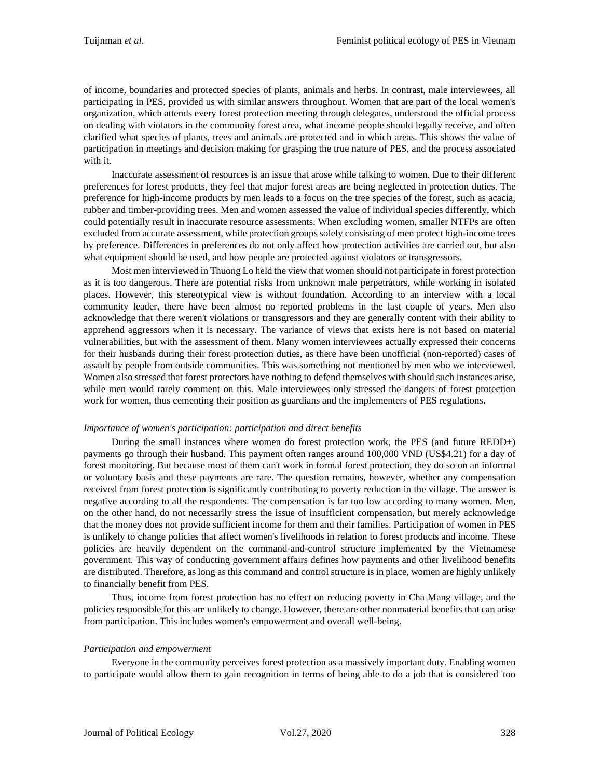of income, boundaries and protected species of plants, animals and herbs. In contrast, male interviewees, all participating in PES, provided us with similar answers throughout. Women that are part of the local women's organization, which attends every forest protection meeting through delegates, understood the official process on dealing with violators in the community forest area, what income people should legally receive, and often clarified what species of plants, trees and animals are protected and in which areas. This shows the value of participation in meetings and decision making for grasping the true nature of PES, and the process associated with it.

Inaccurate assessment of resources is an issue that arose while talking to women. Due to their different preferences for forest products, they feel that major forest areas are being neglected in protection duties. The preference for high-income products by men leads to a focus on the tree species of the forest, such as acacia, rubber and timber-providing trees. Men and women assessed the value of individual species differently, which could potentially result in inaccurate resource assessments. When excluding women, smaller NTFPs are often excluded from accurate assessment, while protection groups solely consisting of men protect high-income trees by preference. Differences in preferences do not only affect how protection activities are carried out, but also what equipment should be used, and how people are protected against violators or transgressors.

Most men interviewed in Thuong Lo held the view that women should not participate in forest protection as it is too dangerous. There are potential risks from unknown male perpetrators, while working in isolated places. However, this stereotypical view is without foundation. According to an interview with a local community leader, there have been almost no reported problems in the last couple of years. Men also acknowledge that there weren't violations or transgressors and they are generally content with their ability to apprehend aggressors when it is necessary. The variance of views that exists here is not based on material vulnerabilities, but with the assessment of them. Many women interviewees actually expressed their concerns for their husbands during their forest protection duties, as there have been unofficial (non-reported) cases of assault by people from outside communities. This was something not mentioned by men who we interviewed. Women also stressed that forest protectors have nothing to defend themselves with should such instances arise, while men would rarely comment on this. Male interviewees only stressed the dangers of forest protection work for women, thus cementing their position as guardians and the implementers of PES regulations.

#### *Importance of women's participation: participation and direct benefits*

During the small instances where women do forest protection work, the PES (and future REDD+) payments go through their husband. This payment often ranges around 100,000 VND (US\$4.21) for a day of forest monitoring. But because most of them can't work in formal forest protection, they do so on an informal or voluntary basis and these payments are rare. The question remains, however, whether any compensation received from forest protection is significantly contributing to poverty reduction in the village. The answer is negative according to all the respondents. The compensation is far too low according to many women. Men, on the other hand, do not necessarily stress the issue of insufficient compensation, but merely acknowledge that the money does not provide sufficient income for them and their families. Participation of women in PES is unlikely to change policies that affect women's livelihoods in relation to forest products and income. These policies are heavily dependent on the command-and-control structure implemented by the Vietnamese government. This way of conducting government affairs defines how payments and other livelihood benefits are distributed. Therefore, as long as this command and control structure is in place, women are highly unlikely to financially benefit from PES.

Thus, income from forest protection has no effect on reducing poverty in Cha Mang village, and the policies responsible for this are unlikely to change. However, there are other nonmaterial benefits that can arise from participation. This includes women's empowerment and overall well-being.

# *Participation and empowerment*

Everyone in the community perceives forest protection as a massively important duty. Enabling women to participate would allow them to gain recognition in terms of being able to do a job that is considered 'too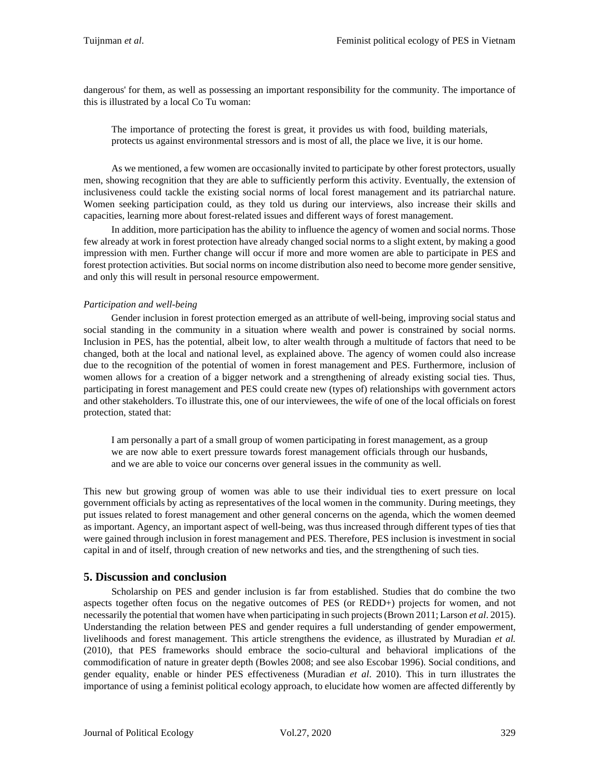dangerous' for them, as well as possessing an important responsibility for the community. The importance of this is illustrated by a local Co Tu woman:

The importance of protecting the forest is great, it provides us with food, building materials, protects us against environmental stressors and is most of all, the place we live, it is our home.

As we mentioned, a few women are occasionally invited to participate by other forest protectors, usually men, showing recognition that they are able to sufficiently perform this activity. Eventually, the extension of inclusiveness could tackle the existing social norms of local forest management and its patriarchal nature. Women seeking participation could, as they told us during our interviews, also increase their skills and capacities, learning more about forest-related issues and different ways of forest management.

In addition, more participation has the ability to influence the agency of women and social norms. Those few already at work in forest protection have already changed social norms to a slight extent, by making a good impression with men. Further change will occur if more and more women are able to participate in PES and forest protection activities. But social norms on income distribution also need to become more gender sensitive, and only this will result in personal resource empowerment.

# *Participation and well-being*

Gender inclusion in forest protection emerged as an attribute of well-being, improving social status and social standing in the community in a situation where wealth and power is constrained by social norms. Inclusion in PES, has the potential, albeit low, to alter wealth through a multitude of factors that need to be changed, both at the local and national level, as explained above. The agency of women could also increase due to the recognition of the potential of women in forest management and PES. Furthermore, inclusion of women allows for a creation of a bigger network and a strengthening of already existing social ties. Thus, participating in forest management and PES could create new (types of) relationships with government actors and other stakeholders. To illustrate this, one of our interviewees, the wife of one of the local officials on forest protection, stated that:

I am personally a part of a small group of women participating in forest management, as a group we are now able to exert pressure towards forest management officials through our husbands, and we are able to voice our concerns over general issues in the community as well.

This new but growing group of women was able to use their individual ties to exert pressure on local government officials by acting as representatives of the local women in the community. During meetings, they put issues related to forest management and other general concerns on the agenda, which the women deemed as important. Agency, an important aspect of well-being, was thus increased through different types of ties that were gained through inclusion in forest management and PES. Therefore, PES inclusion is investment in social capital in and of itself, through creation of new networks and ties, and the strengthening of such ties.

# **5. Discussion and conclusion**

Scholarship on PES and gender inclusion is far from established. Studies that do combine the two aspects together often focus on the negative outcomes of PES (or REDD+) projects for women, and not necessarily the potential that women have when participating in such projects(Brown 2011; Larson *et al*. 2015). Understanding the relation between PES and gender requires a full understanding of gender empowerment, livelihoods and forest management. This article strengthens the evidence, as illustrated by Muradian *et al.*  (2010), that PES frameworks should embrace the socio-cultural and behavioral implications of the commodification of nature in greater depth (Bowles 2008; and see also Escobar 1996). Social conditions, and gender equality, enable or hinder PES effectiveness (Muradian *et al*. 2010). This in turn illustrates the importance of using a feminist political ecology approach, to elucidate how women are affected differently by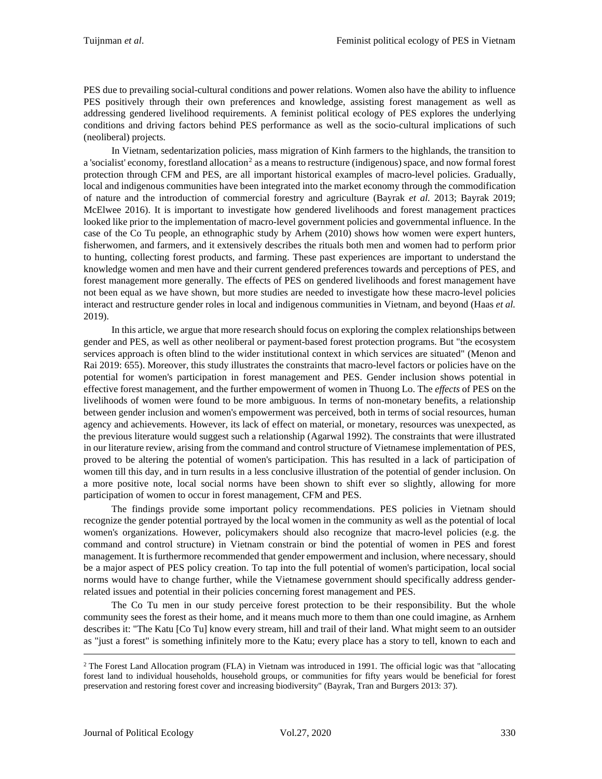PES due to prevailing social-cultural conditions and power relations. Women also have the ability to influence PES positively through their own preferences and knowledge, assisting forest management as well as addressing gendered livelihood requirements. A feminist political ecology of PES explores the underlying conditions and driving factors behind PES performance as well as the socio-cultural implications of such (neoliberal) projects.

In Vietnam, sedentarization policies, mass migration of Kinh farmers to the highlands, the transition to a 'socialist' economy, forestland allocation<sup>[2](#page-13-0)</sup> as a means to restructure (indigenous) space, and now formal forest protection through CFM and PES, are all important historical examples of macro-level policies. Gradually, local and indigenous communities have been integrated into the market economy through the commodification of nature and the introduction of commercial forestry and agriculture (Bayrak *et al.* 2013; Bayrak 2019; McElwee 2016). It is important to investigate how gendered livelihoods and forest management practices looked like prior to the implementation of macro-level government policies and governmental influence. In the case of the Co Tu people, an ethnographic study by Arhem (2010) shows how women were expert hunters, fisherwomen, and farmers, and it extensively describes the rituals both men and women had to perform prior to hunting, collecting forest products, and farming. These past experiences are important to understand the knowledge women and men have and their current gendered preferences towards and perceptions of PES, and forest management more generally. The effects of PES on gendered livelihoods and forest management have not been equal as we have shown, but more studies are needed to investigate how these macro-level policies interact and restructure gender roles in local and indigenous communities in Vietnam, and beyond (Haas *et al.* 2019).

In this article, we argue that more research should focus on exploring the complex relationships between gender and PES, as well as other neoliberal or payment-based forest protection programs. But "the ecosystem services approach is often blind to the wider institutional context in which services are situated" (Menon and Rai 2019: 655). Moreover, this study illustrates the constraints that macro-level factors or policies have on the potential for women's participation in forest management and PES. Gender inclusion shows potential in effective forest management, and the further empowerment of women in Thuong Lo. The *effects* of PES on the livelihoods of women were found to be more ambiguous. In terms of non-monetary benefits, a relationship between gender inclusion and women's empowerment was perceived, both in terms of social resources, human agency and achievements. However, its lack of effect on material, or monetary, resources was unexpected, as the previous literature would suggest such a relationship (Agarwal 1992). The constraints that were illustrated in our literature review, arising from the command and control structure of Vietnamese implementation of PES, proved to be altering the potential of women's participation. This has resulted in a lack of participation of women till this day, and in turn results in a less conclusive illustration of the potential of gender inclusion. On a more positive note, local social norms have been shown to shift ever so slightly, allowing for more participation of women to occur in forest management, CFM and PES.

The findings provide some important policy recommendations. PES policies in Vietnam should recognize the gender potential portrayed by the local women in the community as well as the potential of local women's organizations. However, policymakers should also recognize that macro-level policies (e.g. the command and control structure) in Vietnam constrain or bind the potential of women in PES and forest management. It is furthermore recommended that gender empowerment and inclusion, where necessary, should be a major aspect of PES policy creation. To tap into the full potential of women's participation, local social norms would have to change further, while the Vietnamese government should specifically address genderrelated issues and potential in their policies concerning forest management and PES.

The Co Tu men in our study perceive forest protection to be their responsibility. But the whole community sees the forest as their home, and it means much more to them than one could imagine, as Arnhem describes it: "The Katu [Co Tu] know every stream, hill and trail of their land. What might seem to an outsider as "just a forest" is something infinitely more to the Katu; every place has a story to tell, known to each and

<span id="page-13-0"></span><sup>2</sup> The Forest Land Allocation program (FLA) in Vietnam was introduced in 1991. The official logic was that "allocating forest land to individual households, household groups, or communities for fifty years would be beneficial for forest preservation and restoring forest cover and increasing biodiversity" (Bayrak, Tran and Burgers 2013: 37).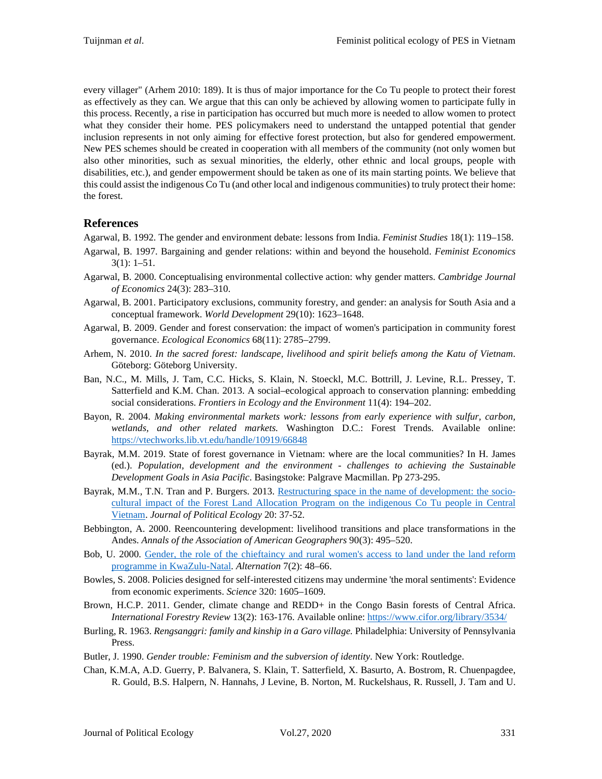every villager" (Arhem 2010: 189). It is thus of major importance for the Co Tu people to protect their forest as effectively as they can. We argue that this can only be achieved by allowing women to participate fully in this process. Recently, a rise in participation has occurred but much more is needed to allow women to protect what they consider their home. PES policymakers need to understand the untapped potential that gender inclusion represents in not only aiming for effective forest protection, but also for gendered empowerment. New PES schemes should be created in cooperation with all members of the community (not only women but also other minorities, such as sexual minorities, the elderly, other ethnic and local groups, people with disabilities, etc.), and gender empowerment should be taken as one of its main starting points. We believe that this could assist the indigenous Co Tu (and other local and indigenous communities) to truly protect their home: the forest.

# **References**

Agarwal, B. 1992. The gender and environment debate: lessons from India. *Feminist Studies* 18(1): 119–158.

- Agarwal, B. 1997. Bargaining and gender relations: within and beyond the household. *Feminist Economics*  $3(1): 1-51.$
- Agarwal, B. 2000. Conceptualising environmental collective action: why gender matters. *Cambridge Journal of Economics* 24(3): 283–310.
- Agarwal, B. 2001. Participatory exclusions, community forestry, and gender: an analysis for South Asia and a conceptual framework. *World Development* 29(10): 1623–1648.
- Agarwal, B. 2009. Gender and forest conservation: the impact of women's participation in community forest governance. *Ecological Economics* 68(11): 2785–2799.
- Arhem, N. 2010. *In the sacred forest: landscape, livelihood and spirit beliefs among the Katu of Vietnam*. Göteborg: Göteborg University.
- Ban, N.C., M. Mills, J. Tam, C.C. Hicks, S. Klain, N. Stoeckl, M.C. Bottrill, J. Levine, R.L. Pressey, T. Satterfield and K.M. Chan. 2013. A social–ecological approach to conservation planning: embedding social considerations. *Frontiers in Ecology and the Environment* 11(4): 194–202.
- Bayon, R. 2004. *Making environmental markets work: lessons from early experience with sulfur, carbon, wetlands, and other related markets.* Washington D.C.: Forest Trends. Available online: <https://vtechworks.lib.vt.edu/handle/10919/66848>
- Bayrak, M.M. 2019. State of forest governance in Vietnam: where are the local communities? In H. James (ed.). *Population, development and the environment - challenges to achieving the Sustainable Development Goals in Asia Pacific*. Basingstoke: Palgrave Macmillan. Pp 273-295.
- Bayrak, M.M., T.N. Tran and P. Burgers. 2013. [Restructuring space in the name of development: the socio](https://doi.org/10.2458/v20i1.21745)[cultural impact of the Forest Land Allocation Program on the indigenous Co Tu people in Central](https://doi.org/10.2458/v20i1.21745)  [Vietnam.](https://doi.org/10.2458/v20i1.21745) *Journal of Political Ecology* 20: 37-52.
- Bebbington, A. 2000. Reencountering development: livelihood transitions and place transformations in the Andes. *Annals of the Association of American Geographers* 90(3): 495–520.
- Bob, U. 2000. [Gender, the role of the chieftaincy and rural women's access to land under the land reform](https://journals.co.za/content/alt/7/2/AJA10231757_222)  [programme in KwaZulu-Natal.](https://journals.co.za/content/alt/7/2/AJA10231757_222) *Alternation* 7(2): 48–66.
- Bowles, S. 2008. Policies designed for self-interested citizens may undermine 'the moral sentiments': Evidence from economic experiments. *Science* 320: 1605–1609.
- Brown, H.C.P. 2011. Gender, climate change and REDD+ in the Congo Basin forests of Central Africa. *International Forestry Review* 13(2): 163-176. Available online:<https://www.cifor.org/library/3534/>
- Burling, R. 1963. *Rengsanggri: family and kinship in a Garo village.* Philadelphia: University of Pennsylvania Press.
- Butler, J. 1990. *Gender trouble: Feminism and the subversion of identity*. New York: Routledge.
- Chan, K.M.A, A.D. Guerry, P. Balvanera, S. Klain, T. Satterfield, X. Basurto, A. Bostrom, R. Chuenpagdee, R. Gould, B.S. Halpern, N. Hannahs, J Levine, B. Norton, M. Ruckelshaus, R. Russell, J. Tam and U.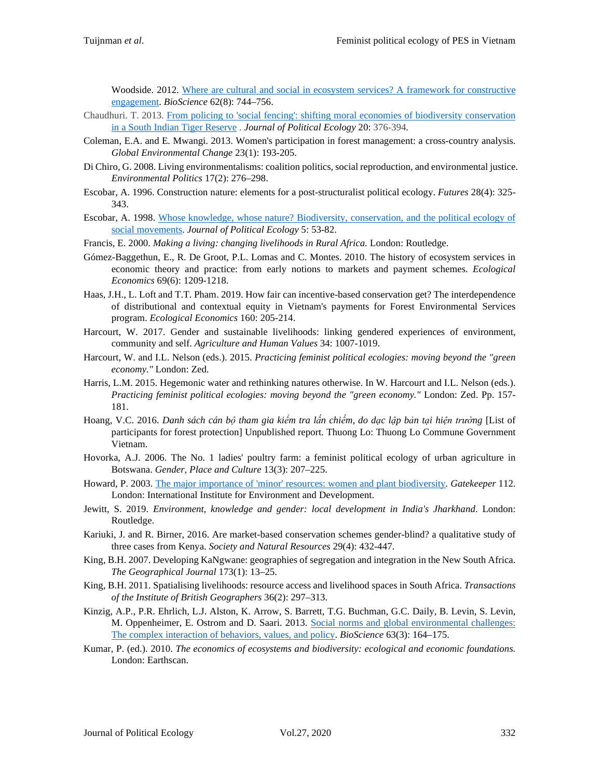Woodside. 2012. [Where are cultural and social in ecosystem services? A framework for constructive](https://doi.org/10.1525/bio.2012.62.8.7)  [engagement.](https://doi.org/10.1525/bio.2012.62.8.7) *BioScience* 62(8): 744–756.

- Chaudhuri. T. 2013. [From policing to 'social fencing': shifting moral economies of biodiversity conservation](https://doi.org/10.2458/v20i1.21752)  [in a South Indian Tiger Reserve](https://doi.org/10.2458/v20i1.21752) . *Journal of Political Ecology* 20: 376-394.
- Coleman, E.A. and E. Mwangi. 2013. Women's participation in forest management: a cross-country analysis. *Global Environmental Change* 23(1): 193-205.
- Di Chiro, G. 2008. Living environmentalisms: coalition politics, social reproduction, and environmental justice. *Environmental Politics* 17(2): 276–298.
- Escobar, A. 1996. Construction nature: elements for a post-structuralist political ecology. *Futures* 28(4): 325- 343.
- Escobar, A. 1998. [Whose knowledge, whose nature? Biodiversity, conservation, and the political ecology of](https://doi.org/10.2458/v5i1.21397)  [social movements.](https://doi.org/10.2458/v5i1.21397) *Journal of Political Ecology* 5: 53-82.
- Francis, E. 2000. *Making a living: changing livelihoods in Rural Africa.* London: Routledge.
- Gómez-Baggethun, E., R. De Groot, P.L. Lomas and C. Montes. 2010. The history of ecosystem services in economic theory and practice: from early notions to markets and payment schemes. *Ecological Economics* 69(6): 1209-1218.
- Haas, J.H., L. Loft and T.T. Pham. 2019. How fair can incentive-based conservation get? The interdependence of distributional and contextual equity in Vietnam's payments for Forest Environmental Services program. *Ecological Economics* 160: 205-214.
- Harcourt, W. 2017. Gender and sustainable livelihoods: linking gendered experiences of environment, community and self. *Agriculture and Human Values* 34: 1007-1019.
- Harcourt, W. and I.L. Nelson (eds.). 2015. *Practicing feminist political ecologies: moving beyond the "green economy."* London: Zed.
- Harris, L.M. 2015. Hegemonic water and rethinking natures otherwise. In W. Harcourt and I.L. Nelson (eds.). *Practicing feminist political ecologies: moving beyond the "green economy."* London: Zed. Pp. 157- 181.
- Hoang, V.C. 2016. Danh sách cán bộ tham gia kiểm tra lần chiếm, do dạc lập bản tại hiện trường [List of participants for forest protection] Unpublished report. Thuong Lo: Thuong Lo Commune Government Vietnam.
- Hovorka, A.J. 2006. The No. 1 ladies' poultry farm: a feminist political ecology of urban agriculture in Botswana. *Gender, Place and Culture* 13(3): 207–225.
- Howard, P. 2003. The major importance of 'minor' [resources: women and plant biodiversity](https://pubs.iied.org/pdfs/9282IIED.pdf)*. Gatekeeper* 112. London: International Institute for Environment and Development.
- Jewitt, S. 2019. *Environment, knowledge and gender: local development in India's Jharkhand*. London: Routledge.
- Kariuki, J. and R. Birner, 2016. Are market-based conservation schemes gender-blind? a qualitative study of three cases from Kenya. *Society and Natural Resources* 29(4): 432-447.
- King, B.H. 2007. Developing KaNgwane: geographies of segregation and integration in the New South Africa. *The Geographical Journal* 173(1): 13–25.
- King, B.H. 2011. Spatialising livelihoods: resource access and livelihood spaces in South Africa. *Transactions of the Institute of British Geographers* 36(2): 297–313.
- Kinzig, A.P., P.R. Ehrlich, L.J. Alston, K. Arrow, S. Barrett, T.G. Buchman, G.C. Daily, B. Levin, S. Levin, M. Oppenheimer, E. Ostrom and D. Saari. 2013. [Social norms and global environmental challenges:](https://academic.oup.com/bioscience/article/63/3/164/228159)  [The complex interaction of behaviors, values, and policy.](https://academic.oup.com/bioscience/article/63/3/164/228159) *BioScience* 63(3): 164–175.
- Kumar, P. (ed.). 2010. *The economics of ecosystems and biodiversity: ecological and economic foundations.*  London: Earthscan.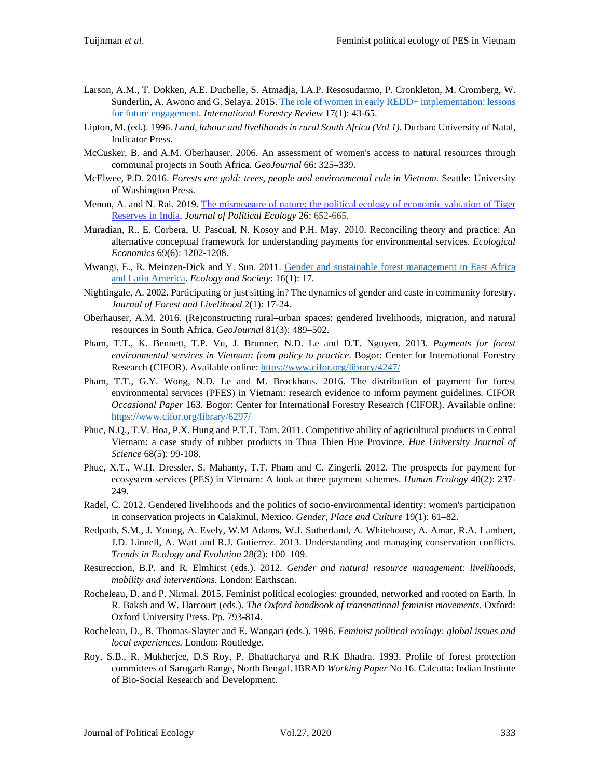- Larson, A.M., T. Dokken, A.E. Duchelle, S. Atmadja, I.A.P. Resosudarmo, P. Cronkleton, M. Cromberg, W. Sunderlin, A. Awono and G. Selaya. 2015[. The role of women in early REDD+ implementation: lessons](https://www.cifor.org/library/5495/)  [for future engagement.](https://www.cifor.org/library/5495/) *International Forestry Review* 17(1): 43-65.
- Lipton, M. (ed.). 1996. *Land, labour and livelihoods in rural South Africa (Vol 1).* Durban: University of Natal, Indicator Press.
- McCusker, B. and A.M. Oberhauser. 2006. An assessment of women's access to natural resources through communal projects in South Africa. *GeoJournal* 66: 325–339.
- McElwee, P.D. 2016. *Forests are gold: trees, people and environmental rule in Vietnam.* Seattle: University of Washington Press.
- Menon, A. and N. Rai. 2019. The [mismeasure](https://doi.org/10.2458/v26i1.23194) of nature: the political ecology of economic valuation of Tiger [Reserves](https://doi.org/10.2458/v26i1.23194) in India. *Journal of Political Ecology* 26: 652-665.
- Muradian, R., E. Corbera, U. Pascual, N. Kosoy and P.H. May. 2010. Reconciling theory and practice: An alternative conceptual framework for understanding payments for environmental services. *Ecological Economics* 69(6): 1202-1208.
- Mwangi, E., R. Meinzen-Dick and Y. Sun. 2011. [Gender and sustainable forest management in East Africa](https://www.ecologyandsociety.org/vol16/iss1/art17/)  [and Latin America.](https://www.ecologyandsociety.org/vol16/iss1/art17/) *Ecology and Society*: 16(1): 17.
- Nightingale, A. 2002. Participating or just sitting in? The dynamics of gender and caste in community forestry. *Journal of Forest and Livelihood* 2(1): 17-24.
- Oberhauser, A.M. 2016. (Re)constructing rural–urban spaces: gendered livelihoods, migration, and natural resources in South Africa. *GeoJournal* 81(3): 489–502.
- Pham, T.T., K. Bennett, T.P. Vu, J. Brunner, N.D. Le and D.T. Nguyen. 2013. *Payments for forest environmental services in Vietnam: from policy to practice*. Bogor: Center for International Forestry Research (CIFOR). Available online:<https://www.cifor.org/library/4247/>
- Pham, T.T., G.Y. Wong, N.D. Le and M. Brockhaus. 2016. The distribution of payment for forest environmental services (PFES) in Vietnam: research evidence to inform payment guidelines*.* CIFOR *Occasional Paper* 163. Bogor: Center for International Forestry Research (CIFOR). Available online: <https://www.cifor.org/library/6297/>
- Phuc, N.Q., T.V. Hoa, P.X. Hung and P.T.T. Tam. 2011. Competitive ability of agricultural products in Central Vietnam: a case study of rubber products in Thua Thien Hue Province. *Hue University Journal of Science* 68(5): 99-108.
- Phuc, X.T., W.H. Dressler, S. Mahanty, T.T. Pham and C. Zingerli. 2012. The prospects for payment for ecosystem services (PES) in Vietnam: A look at three payment schemes. *Human Ecology* 40(2): 237- 249.
- Radel, C. 2012. Gendered livelihoods and the politics of socio-environmental identity: women's participation in conservation projects in Calakmul, Mexico. *Gender, Place and Culture* 19(1): 61–82.
- Redpath, S.M., J. Young, A. Evely, W.M Adams, W.J. Sutherland, A. Whitehouse, A. Amar, R.A. Lambert, J.D. Linnell, A. Watt and R.J. Gutierrez. 2013. Understanding and managing conservation conflicts. *Trends in Ecology and Evolution* 28(2): 100–109.
- Resureccion, B.P. and R. Elmhirst (eds.). 2012. *Gender and natural resource management: livelihoods, mobility and interventions*. London: Earthscan.
- Rocheleau, D. and P. Nirmal. 2015. Feminist political ecologies: grounded, networked and rooted on Earth. In R. Baksh and W. Harcourt (eds.). *The Oxford handbook of transnational feminist movements.* Oxford: Oxford University Press. Pp. 793-814.
- Rocheleau, D., B. Thomas-Slayter and E. Wangari (eds.). 1996. *Feminist political ecology: global issues and local experiences.* London: Routledge.
- Roy, S.B., R. Mukherjee, D.S Roy, P. Bhattacharya and R.K Bhadra. 1993. Profile of forest protection committees of Sarugarh Range, North Bengal. IBRAD *Working Paper* No 16. Calcutta: Indian Institute of Bio-Social Research and Development.